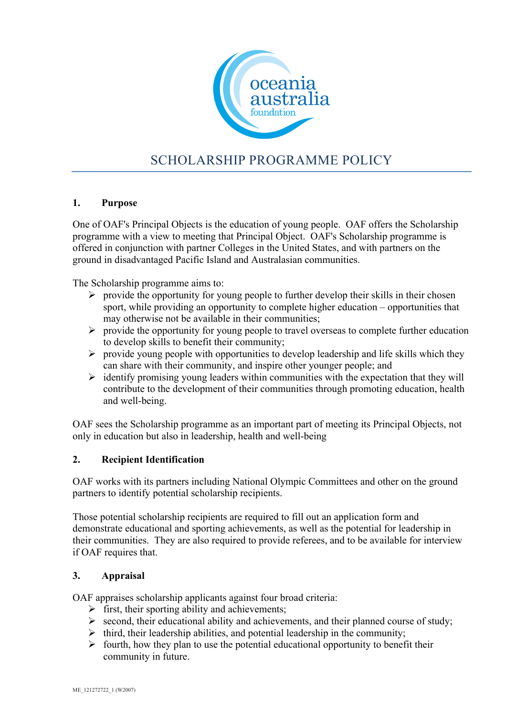

# SCHOLARSHIP PROGRAMME POLICY

# **1. Purpose**

One of OAF's Principal Objects is the education of young people. OAF offers the Scholarship programme with a view to meeting that Principal Object. OAF's Scholarship programme is offered in conjunction with partner Colleges in the United States, and with partners on the ground in disadvantaged Pacific Island and Australasian communities.

The Scholarship programme aims to:

- $\triangleright$  provide the opportunity for young people to further develop their skills in their chosen sport, while providing an opportunity to complete higher education – opportunities that may otherwise not be available in their communities;
- $\triangleright$  provide the opportunity for young people to travel overseas to complete further education to develop skills to benefit their community;
- $\triangleright$  provide young people with opportunities to develop leadership and life skills which they can share with their community, and inspire other younger people; and
- $\triangleright$  identify promising young leaders within communities with the expectation that they will contribute to the development of their communities through promoting education, health and well-being.

OAF sees the Scholarship programme as an important part of meeting its Principal Objects, not only in education but also in leadership, health and well-being

#### **2. Recipient Identification**

OAF works with its partners including National Olympic Committees and other on the ground partners to identify potential scholarship recipients.

Those potential scholarship recipients are required to fill out an application form and demonstrate educational and sporting achievements, as well as the potential for leadership in their communities. They are also required to provide referees, and to be available for interview if OAF requires that.

#### **3. Appraisal**

OAF appraises scholarship applicants against four broad criteria:

- $\triangleright$  first, their sporting ability and achievements;
- $\triangleright$  second, their educational ability and achievements, and their planned course of study;
- $\triangleright$  third, their leadership abilities, and potential leadership in the community;
- $\triangleright$  fourth, how they plan to use the potential educational opportunity to benefit their community in future.